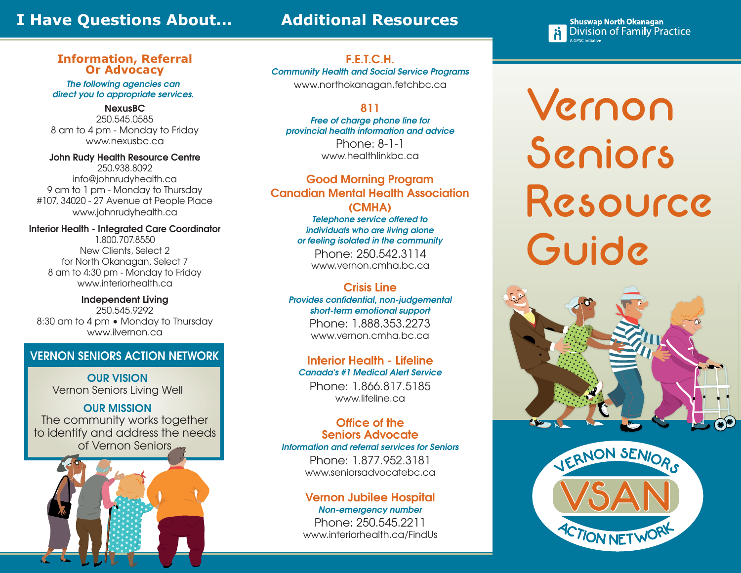# **I Have Questions About...**

# **Additional Resources**

**Shuswap North Okanagan Division of Family Practice** 

#### **Information, Referral Or Advocacy**

*The following agencies can direct you to appropriate services.*

### **NexusBC**

250.545.0585 8 am to 4 pm - Monday to Friday www.nexusbc.ca

**John Rudy Health Resource Centre** 250.938.8092 info@johnrudyhealth.ca 9 am to 1 pm - Monday to Thursday #107, 34020 - 27 Avenue at People Place www.johnrudyhealth.ca

**Interior Health - Integrated Care Coordinator**

1.800.707.8550 New Clients, Select 2 for North Okanagan, Select 7 8 am to 4:30 pm - Monday to Friday www.interiorhealth.ca

**Independent Living** 250.545.9292 8:30 am to 4 pm • Monday to Thursday www.ilvernon.ca

## **VERNON SENIORS ACTION NETWORK**

**OUR VISION** Vernon Seniors Living Well

## **OUR MISSION**

The community works together to identify and address the needs of Vernon Seniors



**F.E.T.C.H.** *Community Health and Social Service Programs* www.northokanagan.fetchbc.ca

## **811**

*Free of charge phone line for provincial health information and advice*

> Phone: 8-1-1 www.healthlinkbc.ca

**Good Morning Program Canadian Mental Health Association (CMHA)**

> *Telephone service offered to individuals who are living alone or feeling isolated in the community*

Phone: 250.542.3114 www.vernon.cmha.bc.ca

## **Crisis Line**

*Provides confidential, non-judgemental short-term emotional support* Phone: 1.888.353.2273 www.vernon.cmha.bc.ca

**Interior Health - Lifeline** *Canada's #1 Medical Alert Service* Phone: 1.866.817.5185

www.lifeline.ca

## **Office of the Seniors Advocate**

*Information and referral services for Seniors*

Phone: 1.877.952.3181 www.seniorsadvocatebc.ca

## **Vernon Jubilee Hospit**

*Non-emergency number* Phone: 250.545.2211 www.interiorhealth.ca/FindUs Vernon Seniors Resource Guide